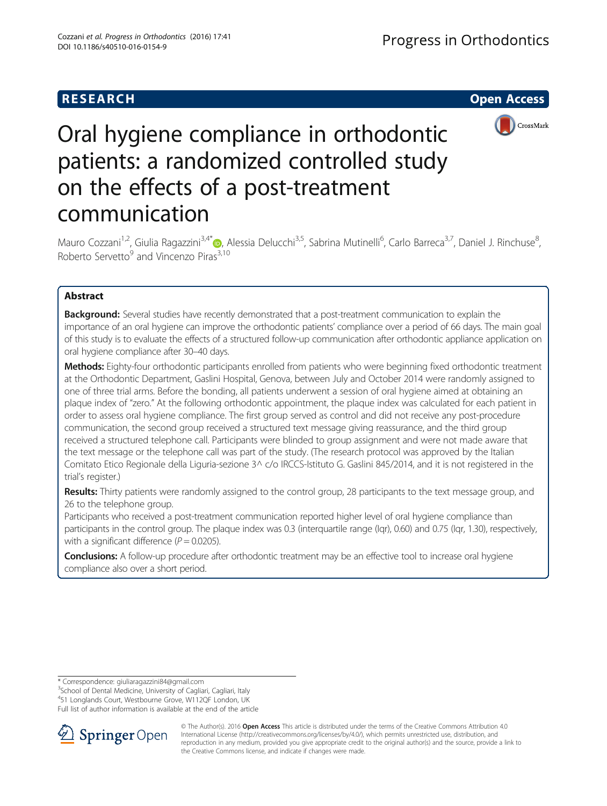# **RESEARCH CHE Open Access**



# Oral hygiene compliance in orthodontic patients: a randomized controlled study on the effects of a post-treatment communication

Mauro Cozzani<sup>1[,](http://orcid.org/0000-0002-1930-7382)2</sup>, Giulia Ragazzini<sup>3,4\*</sup>®, Alessia Delucchi<sup>3,5</sup>, Sabrina Mutinelli<sup>6</sup>, Carlo Barreca<sup>3,7</sup>, Daniel J. Rinchuse<sup>8</sup> ;<br>, Roberto Servetto $9$  and Vincenzo Piras<sup>3,10</sup>

# Abstract

**Background:** Several studies have recently demonstrated that a post-treatment communication to explain the importance of an oral hygiene can improve the orthodontic patients' compliance over a period of 66 days. The main goal of this study is to evaluate the effects of a structured follow-up communication after orthodontic appliance application on oral hygiene compliance after 30–40 days.

Methods: Eighty-four orthodontic participants enrolled from patients who were beginning fixed orthodontic treatment at the Orthodontic Department, Gaslini Hospital, Genova, between July and October 2014 were randomly assigned to one of three trial arms. Before the bonding, all patients underwent a session of oral hygiene aimed at obtaining an plaque index of "zero." At the following orthodontic appointment, the plaque index was calculated for each patient in order to assess oral hygiene compliance. The first group served as control and did not receive any post-procedure communication, the second group received a structured text message giving reassurance, and the third group received a structured telephone call. Participants were blinded to group assignment and were not made aware that the text message or the telephone call was part of the study. (The research protocol was approved by the Italian Comitato Etico Regionale della Liguria-sezione 3^ c/o IRCCS-Istituto G. Gaslini 845/2014, and it is not registered in the trial's register.)

Results: Thirty patients were randomly assigned to the control group, 28 participants to the text message group, and 26 to the telephone group.

Participants who received a post-treatment communication reported higher level of oral hygiene compliance than participants in the control group. The plaque index was 0.3 (interquartile range (Iqr), 0.60) and 0.75 (Iqr, 1.30), respectively, with a significant difference ( $P = 0.0205$ ).

Conclusions: A follow-up procedure after orthodontic treatment may be an effective tool to increase oral hygiene compliance also over a short period.

<sup>3</sup>School of Dental Medicine, University of Cagliari, Cagliari, Italy

4 51 Longlands Court, Westbourne Grove, W112QF London, UK

Full list of author information is available at the end of the article



© The Author(s). 2016 Open Access This article is distributed under the terms of the Creative Commons Attribution 4.0 International License ([http://creativecommons.org/licenses/by/4.0/\)](http://creativecommons.org/licenses/by/4.0/), which permits unrestricted use, distribution, and reproduction in any medium, provided you give appropriate credit to the original author(s) and the source, provide a link to the Creative Commons license, and indicate if changes were made.

<sup>\*</sup> Correspondence: [giuliaragazzini84@gmail.com](mailto:giuliaragazzini84@gmail.com) <sup>3</sup>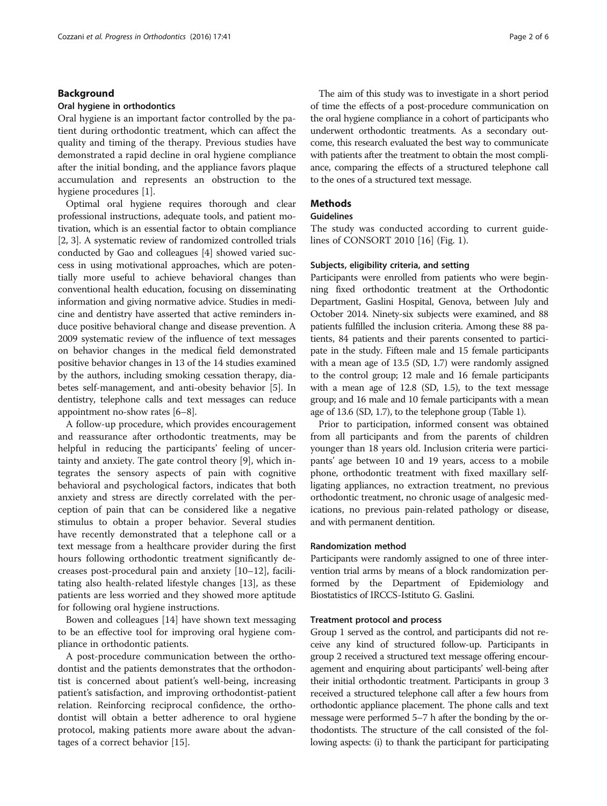#### Background

#### Oral hygiene in orthodontics

Oral hygiene is an important factor controlled by the patient during orthodontic treatment, which can affect the quality and timing of the therapy. Previous studies have demonstrated a rapid decline in oral hygiene compliance after the initial bonding, and the appliance favors plaque accumulation and represents an obstruction to the hygiene procedures [\[1](#page-5-0)].

Optimal oral hygiene requires thorough and clear professional instructions, adequate tools, and patient motivation, which is an essential factor to obtain compliance [[2, 3](#page-5-0)]. A systematic review of randomized controlled trials conducted by Gao and colleagues [[4\]](#page-5-0) showed varied success in using motivational approaches, which are potentially more useful to achieve behavioral changes than conventional health education, focusing on disseminating information and giving normative advice. Studies in medicine and dentistry have asserted that active reminders induce positive behavioral change and disease prevention. A 2009 systematic review of the influence of text messages on behavior changes in the medical field demonstrated positive behavior changes in 13 of the 14 studies examined by the authors, including smoking cessation therapy, diabetes self-management, and anti-obesity behavior [[5\]](#page-5-0). In dentistry, telephone calls and text messages can reduce appointment no-show rates [[6](#page-5-0)–[8](#page-5-0)].

A follow-up procedure, which provides encouragement and reassurance after orthodontic treatments, may be helpful in reducing the participants' feeling of uncertainty and anxiety. The gate control theory [\[9](#page-5-0)], which integrates the sensory aspects of pain with cognitive behavioral and psychological factors, indicates that both anxiety and stress are directly correlated with the perception of pain that can be considered like a negative stimulus to obtain a proper behavior. Several studies have recently demonstrated that a telephone call or a text message from a healthcare provider during the first hours following orthodontic treatment significantly decreases post-procedural pain and anxiety [\[10](#page-5-0)–[12\]](#page-5-0), facilitating also health-related lifestyle changes [\[13](#page-5-0)], as these patients are less worried and they showed more aptitude for following oral hygiene instructions.

Bowen and colleagues [[14\]](#page-5-0) have shown text messaging to be an effective tool for improving oral hygiene compliance in orthodontic patients.

A post-procedure communication between the orthodontist and the patients demonstrates that the orthodontist is concerned about patient's well-being, increasing patient's satisfaction, and improving orthodontist-patient relation. Reinforcing reciprocal confidence, the orthodontist will obtain a better adherence to oral hygiene protocol, making patients more aware about the advantages of a correct behavior [\[15](#page-5-0)].

The aim of this study was to investigate in a short period of time the effects of a post-procedure communication on the oral hygiene compliance in a cohort of participants who underwent orthodontic treatments. As a secondary outcome, this research evaluated the best way to communicate with patients after the treatment to obtain the most compliance, comparing the effects of a structured telephone call to the ones of a structured text message.

# **Methods**

#### Guidelines

The study was conducted according to current guidelines of CONSORT 2010 [[16\]](#page-5-0) (Fig. [1](#page-2-0)).

#### Subjects, eligibility criteria, and setting

Participants were enrolled from patients who were beginning fixed orthodontic treatment at the Orthodontic Department, Gaslini Hospital, Genova, between July and October 2014. Ninety-six subjects were examined, and 88 patients fulfilled the inclusion criteria. Among these 88 patients, 84 patients and their parents consented to participate in the study. Fifteen male and 15 female participants with a mean age of 13.5 (SD, 1.7) were randomly assigned to the control group; 12 male and 16 female participants with a mean age of 12.8 (SD, 1.5), to the text message group; and 16 male and 10 female participants with a mean age of 13.6 (SD, 1.7), to the telephone group (Table [1](#page-2-0)).

Prior to participation, informed consent was obtained from all participants and from the parents of children younger than 18 years old. Inclusion criteria were participants' age between 10 and 19 years, access to a mobile phone, orthodontic treatment with fixed maxillary selfligating appliances, no extraction treatment, no previous orthodontic treatment, no chronic usage of analgesic medications, no previous pain-related pathology or disease, and with permanent dentition.

#### Randomization method

Participants were randomly assigned to one of three intervention trial arms by means of a block randomization performed by the Department of Epidemiology and Biostatistics of IRCCS-Istituto G. Gaslini.

#### Treatment protocol and process

Group 1 served as the control, and participants did not receive any kind of structured follow-up. Participants in group 2 received a structured text message offering encouragement and enquiring about participants' well-being after their initial orthodontic treatment. Participants in group 3 received a structured telephone call after a few hours from orthodontic appliance placement. The phone calls and text message were performed 5–7 h after the bonding by the orthodontists. The structure of the call consisted of the following aspects: (i) to thank the participant for participating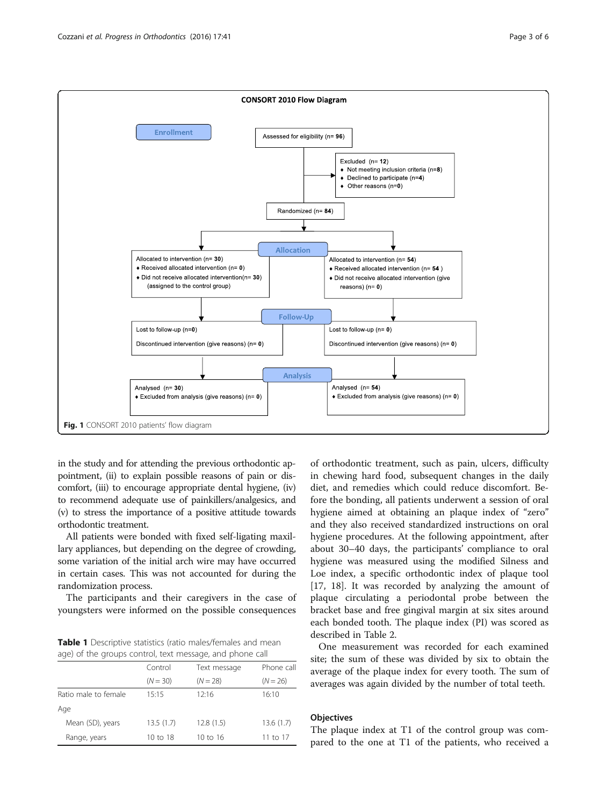<span id="page-2-0"></span>

in the study and for attending the previous orthodontic appointment, (ii) to explain possible reasons of pain or discomfort, (iii) to encourage appropriate dental hygiene, (iv) to recommend adequate use of painkillers/analgesics, and (v) to stress the importance of a positive attitude towards orthodontic treatment.

All patients were bonded with fixed self-ligating maxillary appliances, but depending on the degree of crowding, some variation of the initial arch wire may have occurred in certain cases. This was not accounted for during the randomization process.

The participants and their caregivers in the case of youngsters were informed on the possible consequences

**Table 1** Descriptive statistics (ratio males/females and mean age) of the groups control, text message, and phone call

|                      | Control    | Text message | Phone call |  |
|----------------------|------------|--------------|------------|--|
|                      | $(N = 30)$ | $(N = 28)$   | $(N = 26)$ |  |
| Ratio male to female | 15:15      | 12:16        | 16:10      |  |
| Age                  |            |              |            |  |
| Mean (SD), years     | 13.5(1.7)  | 12.8(1.5)    | 13.6(1.7)  |  |
| Range, years         | 10 to 18   | 10 to 16     | 11 to 17   |  |

of orthodontic treatment, such as pain, ulcers, difficulty in chewing hard food, subsequent changes in the daily diet, and remedies which could reduce discomfort. Before the bonding, all patients underwent a session of oral hygiene aimed at obtaining an plaque index of "zero" and they also received standardized instructions on oral hygiene procedures. At the following appointment, after about 30–40 days, the participants' compliance to oral hygiene was measured using the modified Silness and Loe index, a specific orthodontic index of plaque tool [[17, 18\]](#page-5-0). It was recorded by analyzing the amount of plaque circulating a periodontal probe between the bracket base and free gingival margin at six sites around each bonded tooth. The plaque index (PI) was scored as described in Table [2](#page-3-0).

One measurement was recorded for each examined site; the sum of these was divided by six to obtain the average of the plaque index for every tooth. The sum of averages was again divided by the number of total teeth.

# **Objectives**

The plaque index at T1 of the control group was compared to the one at T1 of the patients, who received a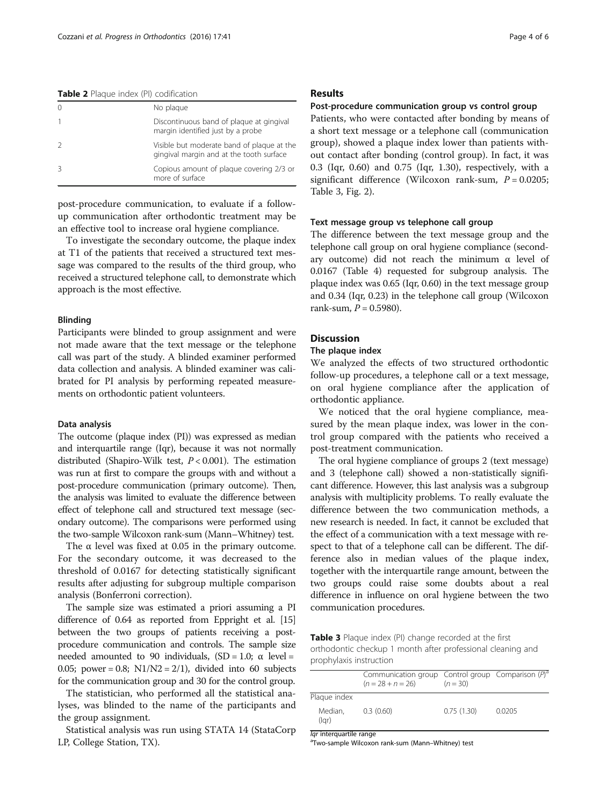<span id="page-3-0"></span>Table 2 Plaque index (PI) codification

| No plaque                                                                              |
|----------------------------------------------------------------------------------------|
| Discontinuous band of plaque at gingival<br>margin identified just by a probe          |
| Visible but moderate band of plaque at the<br>gingival margin and at the tooth surface |
| Copious amount of plaque covering 2/3 or<br>more of surface                            |

post-procedure communication, to evaluate if a followup communication after orthodontic treatment may be an effective tool to increase oral hygiene compliance.

To investigate the secondary outcome, the plaque index at T1 of the patients that received a structured text message was compared to the results of the third group, who received a structured telephone call, to demonstrate which approach is the most effective.

#### Blinding

Participants were blinded to group assignment and were not made aware that the text message or the telephone call was part of the study. A blinded examiner performed data collection and analysis. A blinded examiner was calibrated for PI analysis by performing repeated measurements on orthodontic patient volunteers.

#### Data analysis

The outcome (plaque index (PI)) was expressed as median and interquartile range (Iqr), because it was not normally distributed (Shapiro-Wilk test,  $P < 0.001$ ). The estimation was run at first to compare the groups with and without a post-procedure communication (primary outcome). Then, the analysis was limited to evaluate the difference between effect of telephone call and structured text message (secondary outcome). The comparisons were performed using the two-sample Wilcoxon rank-sum (Mann–Whitney) test.

The  $\alpha$  level was fixed at 0.05 in the primary outcome. For the secondary outcome, it was decreased to the threshold of 0.0167 for detecting statistically significant results after adjusting for subgroup multiple comparison analysis (Bonferroni correction).

The sample size was estimated a priori assuming a PI difference of 0.64 as reported from Eppright et al. [\[15](#page-5-0)] between the two groups of patients receiving a postprocedure communication and controls. The sample size needed amounted to 90 individuals,  $(SD = 1.0; α level =$ 0.05; power = 0.8;  $N1/N2 = 2/1$ , divided into 60 subjects for the communication group and 30 for the control group.

The statistician, who performed all the statistical analyses, was blinded to the name of the participants and the group assignment.

Statistical analysis was run using STATA 14 (StataCorp LP, College Station, TX).

#### Results

#### Post-procedure communication group vs control group

Patients, who were contacted after bonding by means of a short text message or a telephone call (communication group), showed a plaque index lower than patients without contact after bonding (control group). In fact, it was 0.3 (Iqr, 0.60) and 0.75 (Iqr, 1.30), respectively, with a significant difference (Wilcoxon rank-sum,  $P = 0.0205$ ; Table 3, Fig. [2](#page-4-0)).

#### Text message group vs telephone call group

The difference between the text message group and the telephone call group on oral hygiene compliance (secondary outcome) did not reach the minimum α level of 0.0167 (Table [4\)](#page-4-0) requested for subgroup analysis. The plaque index was 0.65 (Iqr, 0.60) in the text message group and 0.34 (Iqr, 0.23) in the telephone call group (Wilcoxon rank-sum,  $P = 0.5980$ ).

# **Discussion**

# The plaque index

We analyzed the effects of two structured orthodontic follow-up procedures, a telephone call or a text message, on oral hygiene compliance after the application of orthodontic appliance.

We noticed that the oral hygiene compliance, measured by the mean plaque index, was lower in the control group compared with the patients who received a post-treatment communication.

The oral hygiene compliance of groups 2 (text message) and 3 (telephone call) showed a non-statistically significant difference. However, this last analysis was a subgroup analysis with multiplicity problems. To really evaluate the difference between the two communication methods, a new research is needed. In fact, it cannot be excluded that the effect of a communication with a text message with respect to that of a telephone call can be different. The difference also in median values of the plaque index, together with the interquartile range amount, between the two groups could raise some doubts about a real difference in influence on oral hygiene between the two communication procedures.

Table 3 Plaque index (PI) change recorded at the first orthodontic checkup 1 month after professional cleaning and prophylaxis instruction

|                         | Communication group Control group Comparison $(P)^a$<br>$(n = 28 + n = 26)$ | $(n = 30)$ |        |
|-------------------------|-----------------------------------------------------------------------------|------------|--------|
| Plaque index            |                                                                             |            |        |
| Median,<br>(lqr)        | 0.3(0.60)                                                                   | 0.75(1.30) | 0.0205 |
| lgr interguartile range |                                                                             |            |        |

Two-sample Wilcoxon rank-sum (Mann–Whitney) test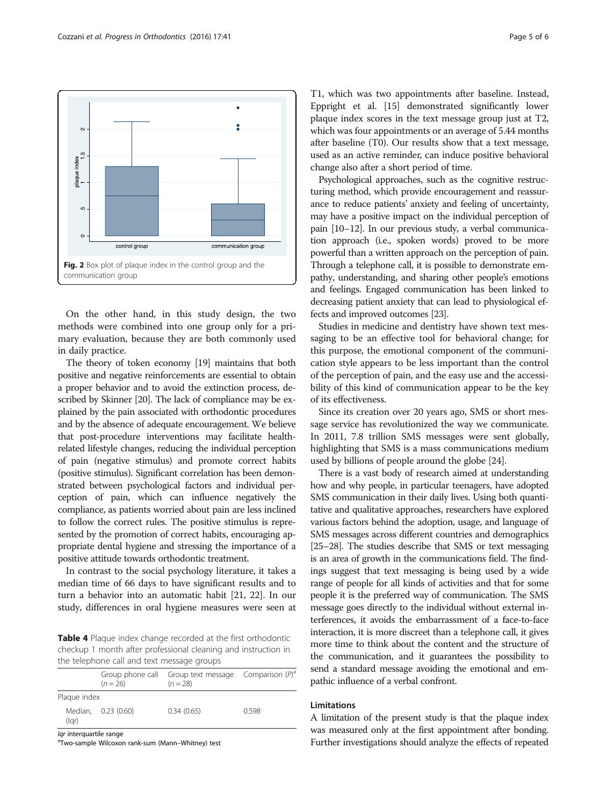<span id="page-4-0"></span>

On the other hand, in this study design, the two methods were combined into one group only for a primary evaluation, because they are both commonly used in daily practice.

The theory of token economy [\[19\]](#page-5-0) maintains that both positive and negative reinforcements are essential to obtain a proper behavior and to avoid the extinction process, described by Skinner [\[20\]](#page-5-0). The lack of compliance may be explained by the pain associated with orthodontic procedures and by the absence of adequate encouragement. We believe that post-procedure interventions may facilitate healthrelated lifestyle changes, reducing the individual perception of pain (negative stimulus) and promote correct habits (positive stimulus). Significant correlation has been demonstrated between psychological factors and individual perception of pain, which can influence negatively the compliance, as patients worried about pain are less inclined to follow the correct rules. The positive stimulus is represented by the promotion of correct habits, encouraging appropriate dental hygiene and stressing the importance of a positive attitude towards orthodontic treatment.

In contrast to the social psychology literature, it takes a median time of 66 days to have significant results and to turn a behavior into an automatic habit [\[21](#page-5-0), [22\]](#page-5-0). In our study, differences in oral hygiene measures were seen at

Table 4 Plaque index change recorded at the first orthodontic checkup 1 month after professional cleaning and instruction in the telephone call and text message groups

|                         | $(n = 26)$          | Group phone call Group text message Comparison $(P)^a$<br>$(n = 28)$ |      |
|-------------------------|---------------------|----------------------------------------------------------------------|------|
| Plaque index            |                     |                                                                      |      |
| (lqr)                   | Median, 0.23 (0.60) | 0.34(0.65)                                                           | 0598 |
| lar intorausetilo rongo |                     |                                                                      |      |

*lqr* interquartile range<br><sup>a</sup>Two-sample Wilcoxon rank-sum (Mann–Whitney) test

T1, which was two appointments after baseline. Instead, Eppright et al. [[15](#page-5-0)] demonstrated significantly lower plaque index scores in the text message group just at T2, which was four appointments or an average of 5.44 months after baseline (T0). Our results show that a text message, used as an active reminder, can induce positive behavioral change also after a short period of time.

Psychological approaches, such as the cognitive restructuring method, which provide encouragement and reassurance to reduce patients' anxiety and feeling of uncertainty, may have a positive impact on the individual perception of pain [\[10](#page-5-0)–[12\]](#page-5-0). In our previous study, a verbal communication approach (i.e., spoken words) proved to be more powerful than a written approach on the perception of pain. Through a telephone call, it is possible to demonstrate empathy, understanding, and sharing other people's emotions and feelings. Engaged communication has been linked to decreasing patient anxiety that can lead to physiological effects and improved outcomes [\[23](#page-5-0)].

Studies in medicine and dentistry have shown text messaging to be an effective tool for behavioral change; for this purpose, the emotional component of the communication style appears to be less important than the control of the perception of pain, and the easy use and the accessibility of this kind of communication appear to be the key of its effectiveness.

Since its creation over 20 years ago, SMS or short message service has revolutionized the way we communicate. In 2011, 7.8 trillion SMS messages were sent globally, highlighting that SMS is a mass communications medium used by billions of people around the globe [\[24](#page-5-0)].

There is a vast body of research aimed at understanding how and why people, in particular teenagers, have adopted SMS communication in their daily lives. Using both quantitative and qualitative approaches, researchers have explored various factors behind the adoption, usage, and language of SMS messages across different countries and demographics [[25](#page-5-0)–[28](#page-5-0)]. The studies describe that SMS or text messaging is an area of growth in the communications field. The findings suggest that text messaging is being used by a wide range of people for all kinds of activities and that for some people it is the preferred way of communication. The SMS message goes directly to the individual without external interferences, it avoids the embarrassment of a face-to-face interaction, it is more discreet than a telephone call, it gives more time to think about the content and the structure of the communication, and it guarantees the possibility to send a standard message avoiding the emotional and empathic influence of a verbal confront.

## Limitations

A limitation of the present study is that the plaque index was measured only at the first appointment after bonding. Further investigations should analyze the effects of repeated